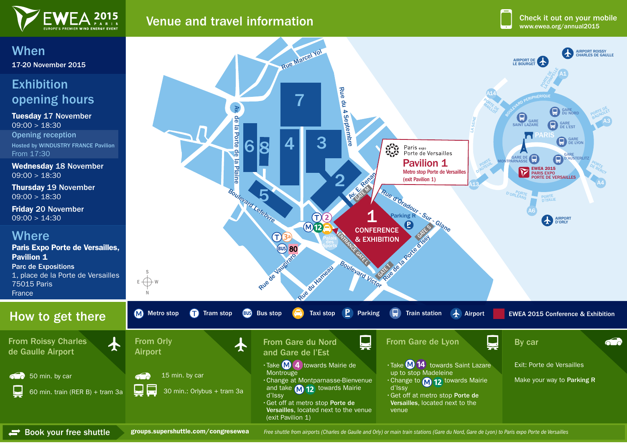

## **Venue and travel information with the contract of the contract of the contract of the contract of the contract of the contract of the contract of the contract of the contract of the contract of the contract of the contra**

# When 17-20 November 2015

### Exhibition opening hours

Tuesday 17 November  $09:00 > 18:30$ Opening reception Hosted by WINDUSTRY FRANCE Pavilion From 17:30

Wednesday 18 November  $09:00 > 18:30$ 

Thursday 19 November  $09:00 > 18:30$ 

Friday 20 November 09:00 > 14:30

#### **Where**

Paris Expo Porte de Versailles, Pavilion 1 Parc de Expositions 1, place de la Porte de Versailles 75015 Paris France

#### How to get there

 $\overline{\mathbf{A}}$ 

From Roissy Charles de Gaulle Airport



(exit Pavilion 1)

Book your free shuttle groups.supershuttle.com/congresewea Free shuttle from airports (Charles de Gaulle and Orly) or main train stations (Gare du Nord, Gare de Lyon) to Paris expo Porte de Versailles